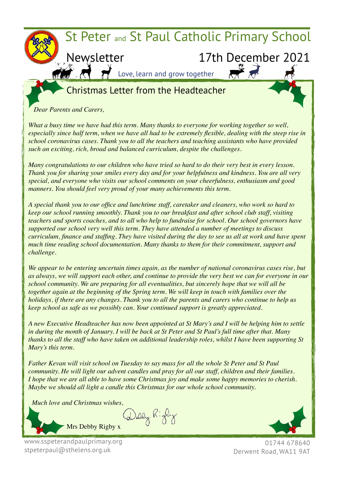

### Christmas Letter from the Headteacher

*Dear Parents and Carers,*

*What a busy time we have had this term. Many thanks to everyone for working together so well, especially since half term, when we have all had to be extremely flexible, dealing with the steep rise in school coronavirus cases. Thank you to all the teachers and teaching assistants who have provided such an exciting, rich, broad and balanced curriculum, despite the challenges.*

*Many congratulations to our children who have tried so hard to do their very best in every lesson. Thank you for sharing your smiles every day and for your helpfulness and kindness. You are all very special, and everyone who visits our school comments on your cheerfulness, enthusiasm and good manners. You should feel very proud of your many achievements this term.*

*A special thank you to our office and lunchtime staff, caretaker and cleaners, who work so hard to keep our school running smoothly. Thank you to our breakfast and after school club staff, visiting teachers and sports coaches, and to all who help to fundraise for school. Our school governors have supported our school very well this term. They have attended a number of meetings to discuss curriculum, finance and staffing. They have visited during the day to see us all at work and have spent much time reading school documentation. Many thanks to them for their commitment, support and challenge.*

*We appear to be entering uncertain times again, as the number of national coronavirus cases rise, but as always, we will support each other, and continue to provide the very best we can for everyone in our school community. We are preparing for all eventualities, but sincerely hope that we will all be together again at the beginning of the Spring term. We will keep in touch with families over the holidays, if there are any changes. Thank you to all the parents and carers who continue to help us keep school as safe as we possibly can. Your continued support is greatly appreciated.*

*A new Executive Headteacher has now been appointed at St Mary's and I will be helping him to settle in during the month of January. I will be back at St Peter and St Paul's full time after that. Many thanks to all the staff who have taken on additional leadership roles, whilst I have been supporting St Mary's this term.*

*Father Kevan will visit school on Tuesday to say mass for all the whole St Peter and St Paul community. He will light our advent candles and pray for all our staff, children and their families. I hope that we are all able to have some Christmas joy and make some happy memories to cherish. Maybe we should all light a candle this Christmas for our whole school community.*

*Much love and Christmas wishes,* 





www.sspeterandpaulprimary.org stpeterpaul@sthelens.org.uk

01744 678640 Derwent Road, WA11 9AT